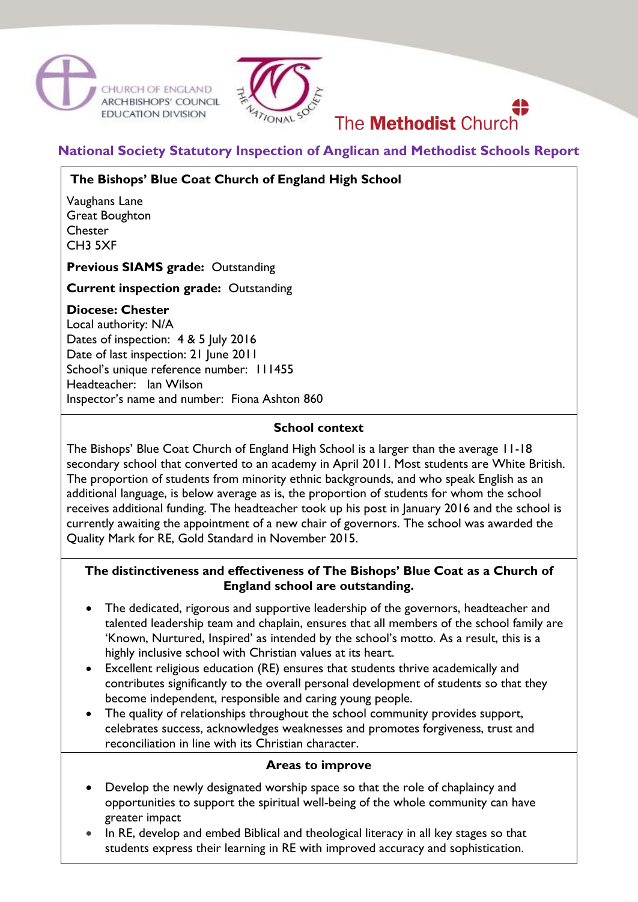



# The **Methodist** Church

## **National Society Statutory Inspection of Anglican and Methodist Schools Report**

## **The Bishops' Blue Coat Church of England High School**

Vaughans Lane Great Boughton **Chester** CH3 5XF

**Previous SIAMS grade:** Outstanding

**Current inspection grade:** Outstanding

## **Diocese: Chester**

Local authority: N/A Dates of inspection: 4 & 5 July 2016 Date of last inspection: 21 June 2011 School's unique reference number: 111455 Headteacher: Ian Wilson Inspector's name and number: Fiona Ashton 860

#### **School context**

The Bishops' Blue Coat Church of England High School is a larger than the average 11-18 secondary school that converted to an academy in April 2011. Most students are White British. The proportion of students from minority ethnic backgrounds, and who speak English as an additional language, is below average as is, the proportion of students for whom the school receives additional funding. The headteacher took up his post in January 2016 and the school is currently awaiting the appointment of a new chair of governors. The school was awarded the Quality Mark for RE, Gold Standard in November 2015.

## **The distinctiveness and effectiveness of The Bishops' Blue Coat as a Church of England school are outstanding.**

- The dedicated, rigorous and supportive leadership of the governors, headteacher and talented leadership team and chaplain, ensures that all members of the school family are 'Known, Nurtured, Inspired' as intended by the school's motto. As a result, this is a highly inclusive school with Christian values at its heart.
- Excellent religious education (RE) ensures that students thrive academically and contributes significantly to the overall personal development of students so that they become independent, responsible and caring young people.
- The quality of relationships throughout the school community provides support, celebrates success, acknowledges weaknesses and promotes forgiveness, trust and reconciliation in line with its Christian character.

#### **Areas to improve**

- Develop the newly designated worship space so that the role of chaplaincy and opportunities to support the spiritual well-being of the whole community can have greater impact
- In RE, develop and embed Biblical and theological literacy in all key stages so that students express their learning in RE with improved accuracy and sophistication.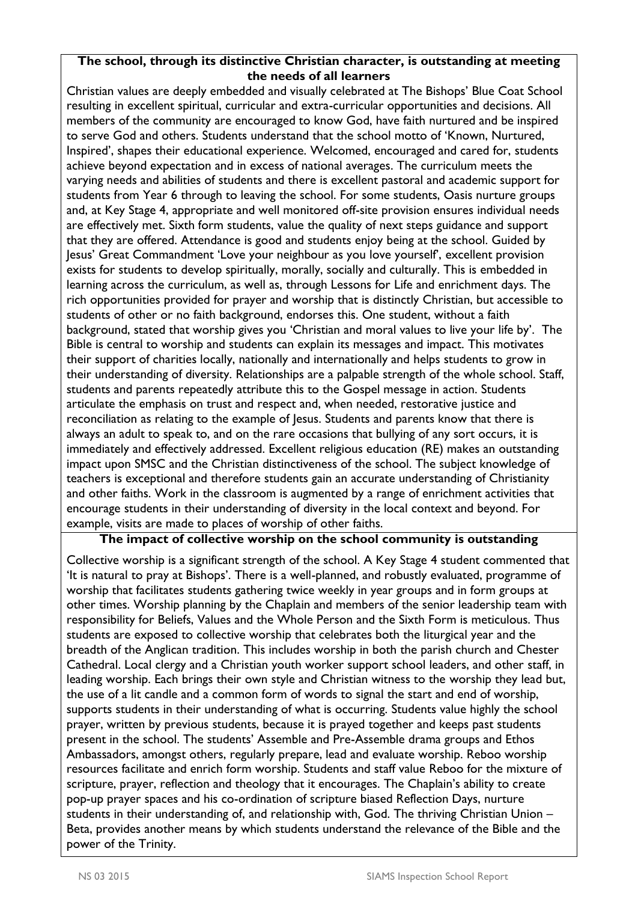## **The school, through its distinctive Christian character, is outstanding at meeting the needs of all learners**

Christian values are deeply embedded and visually celebrated at The Bishops' Blue Coat School resulting in excellent spiritual, curricular and extra-curricular opportunities and decisions. All members of the community are encouraged to know God, have faith nurtured and be inspired to serve God and others. Students understand that the school motto of 'Known, Nurtured, Inspired', shapes their educational experience. Welcomed, encouraged and cared for, students achieve beyond expectation and in excess of national averages. The curriculum meets the varying needs and abilities of students and there is excellent pastoral and academic support for students from Year 6 through to leaving the school. For some students, Oasis nurture groups and, at Key Stage 4, appropriate and well monitored off-site provision ensures individual needs are effectively met. Sixth form students, value the quality of next steps guidance and support that they are offered. Attendance is good and students enjoy being at the school. Guided by Jesus' Great Commandment 'Love your neighbour as you love yourself', excellent provision exists for students to develop spiritually, morally, socially and culturally. This is embedded in learning across the curriculum, as well as, through Lessons for Life and enrichment days. The rich opportunities provided for prayer and worship that is distinctly Christian, but accessible to students of other or no faith background, endorses this. One student, without a faith background, stated that worship gives you 'Christian and moral values to live your life by'. The Bible is central to worship and students can explain its messages and impact. This motivates their support of charities locally, nationally and internationally and helps students to grow in their understanding of diversity. Relationships are a palpable strength of the whole school. Staff, students and parents repeatedly attribute this to the Gospel message in action. Students articulate the emphasis on trust and respect and, when needed, restorative justice and reconciliation as relating to the example of Jesus. Students and parents know that there is always an adult to speak to, and on the rare occasions that bullying of any sort occurs, it is immediately and effectively addressed. Excellent religious education (RE) makes an outstanding impact upon SMSC and the Christian distinctiveness of the school. The subject knowledge of teachers is exceptional and therefore students gain an accurate understanding of Christianity and other faiths. Work in the classroom is augmented by a range of enrichment activities that encourage students in their understanding of diversity in the local context and beyond. For example, visits are made to places of worship of other faiths.

## **The impact of collective worship on the school community is outstanding**

Collective worship is a significant strength of the school. A Key Stage 4 student commented that 'It is natural to pray at Bishops'. There is a well-planned, and robustly evaluated, programme of worship that facilitates students gathering twice weekly in year groups and in form groups at other times. Worship planning by the Chaplain and members of the senior leadership team with responsibility for Beliefs, Values and the Whole Person and the Sixth Form is meticulous. Thus students are exposed to collective worship that celebrates both the liturgical year and the breadth of the Anglican tradition. This includes worship in both the parish church and Chester Cathedral. Local clergy and a Christian youth worker support school leaders, and other staff, in leading worship. Each brings their own style and Christian witness to the worship they lead but, the use of a lit candle and a common form of words to signal the start and end of worship, supports students in their understanding of what is occurring. Students value highly the school prayer, written by previous students, because it is prayed together and keeps past students present in the school. The students' Assemble and Pre-Assemble drama groups and Ethos Ambassadors, amongst others, regularly prepare, lead and evaluate worship. Reboo worship resources facilitate and enrich form worship. Students and staff value Reboo for the mixture of scripture, prayer, reflection and theology that it encourages. The Chaplain's ability to create pop-up prayer spaces and his co-ordination of scripture biased Reflection Days, nurture students in their understanding of, and relationship with, God. The thriving Christian Union – Beta, provides another means by which students understand the relevance of the Bible and the power of the Trinity.